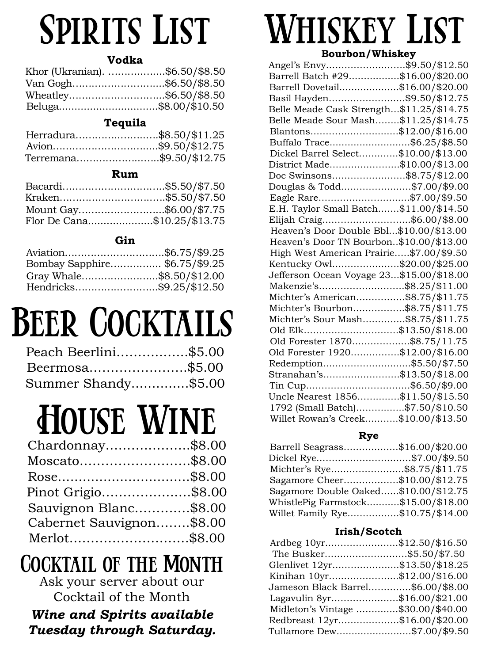# SPIRITS LIST

### **Vodka**

| Khor (Ukranian). \$6.50/\$8.50 |  |
|--------------------------------|--|
| Van Gogh\$6.50/\$8.50          |  |
| Wheatley\$6.50/\$8.50          |  |
| Beluga\$8.00/\$10.50           |  |

### **Tequila**

| Herradura\$8.50/\$11.25 |  |
|-------------------------|--|
| Avion\$9.50/\$12.75     |  |
| Terremana\$9.50/\$12.75 |  |

#### **Rum**

| Bacardi\$5.50/\$7.50        |  |
|-----------------------------|--|
| Kraken\$5.50/\$7.50         |  |
| Mount Gay\$6.00/\$7.75      |  |
| Flor De Cana\$10.25/\$13.75 |  |

### **Gin**

| Aviation\$6.75/\$9.25        |  |
|------------------------------|--|
| Bombay Sapphire\$6.75/\$9.25 |  |
| Gray Whale\$8.50/\$12.00     |  |
| Hendricks\$9.25/\$12.50      |  |

## BEER COCKTAILS

| Peach Beerlini\$5.00 |  |
|----------------------|--|
| Beermosa\$5.00       |  |
| Summer Shandy\$5.00  |  |

## House Wine

| Chardonnay\$8.00         |  |
|--------------------------|--|
| Moscato\$8.00            |  |
|                          |  |
| Pinot Grigio\$8.00       |  |
| Sauvignon Blanc\$8.00    |  |
| Cabernet Sauvignon\$8.00 |  |
| Merlot\$8.00             |  |
|                          |  |

## Cocktail of the Month

Ask your server about our Cocktail of the Month *Wine and Spirits available Tuesday through Saturday.*

## Whiskey List **Bourbon/Whiskey**

| Angel's Envy\$9.50/\$12.50                                           |  |
|----------------------------------------------------------------------|--|
| Barrell Batch #29\$16.00/\$20.00                                     |  |
| Barrell Dovetail\$16.00/\$20.00                                      |  |
| Basil Hayden\$9.50/\$12.75                                           |  |
| Belle Meade Cask Strength\$11.25/\$14.75                             |  |
| Belle Meade Sour Mash\$11.25/\$14.75                                 |  |
| Blantons\$12.00/\$16.00                                              |  |
| Buffalo Trace\$6.25/\$8.50                                           |  |
| Dickel Barrel Select\$10.00/\$13.00                                  |  |
| District Made\$10.00/\$13.00                                         |  |
| Doc Swinsons\$8.75/\$12.00                                           |  |
| Douglas & Todd\$7.00/\$9.00                                          |  |
| Eagle Rare\$7.00/\$9.50                                              |  |
| E.H. Taylor Small Batch\$11.00/\$14.50                               |  |
| Elijah Craig\$6.00/\$8.00                                            |  |
| Heaven's Door Double Bbl\$10.00/\$13.00                              |  |
| Heaven's Door TN Bourbon\$10.00/\$13.00                              |  |
| High West American Prairie\$7.00/\$9.50                              |  |
| Kentucky Owl\$20.00/\$25.00                                          |  |
|                                                                      |  |
| Jefferson Ocean Voyage 23\$15.00/\$18.00<br>Makenzie's\$8.25/\$11.00 |  |
| Michter's American\$8.75/\$11.75                                     |  |
| Michter's Bourbon\$8.75/\$11.75                                      |  |
| Michter's Sour Mash\$8.75/\$11.75                                    |  |
| Old Elk\$13.50/\$18.00                                               |  |
| Old Forester 1870\$8.75/11.75                                        |  |
| Old Forester 1920\$12.00/\$16.00                                     |  |
| Redemption\$5.50/\$7.50                                              |  |
| Stranahan's\$13.50/\$18.00                                           |  |
| Tin Cup\$6.50/\$9.00                                                 |  |
| Uncle Nearest 1856\$11.50/\$15.50                                    |  |
| 1792 (Small Batch)\$7.50/\$10.50                                     |  |
| Willet Rowan's Creek\$10.00/\$13.50                                  |  |

### **Rye**

| Barrell Seagrass\$16.00/\$20.00      |  |
|--------------------------------------|--|
| Dickel Rye\$7.00/\$9.50              |  |
| Michter's Rye\$8.75/\$11.75          |  |
| Sagamore Cheer\$10.00/\$12.75        |  |
| Sagamore Double Oaked\$10.00/\$12.75 |  |
| WhistlePig Farmstock\$15.00/\$18.00  |  |
| Willet Family Rye\$10.75/\$14.00     |  |

#### **Irish/Scotch**

| Ardbeg 10yr\$12.50/\$16.50         |  |
|------------------------------------|--|
| The Busker\$5.50/\$7.50            |  |
| Glenlivet 12yr\$13.50/\$18.25      |  |
| Kinihan 10yr\$12.00/\$16.00        |  |
| Jameson Black Barrel\$6.00/\$8.00  |  |
| Lagavulin 8yr\$16.00/\$21.00       |  |
| Midleton's Vintage \$30.00/\$40.00 |  |
| Redbreast 12yr\$16.00/\$20.00      |  |
| Tullamore Dew\$7.00/\$9.50         |  |